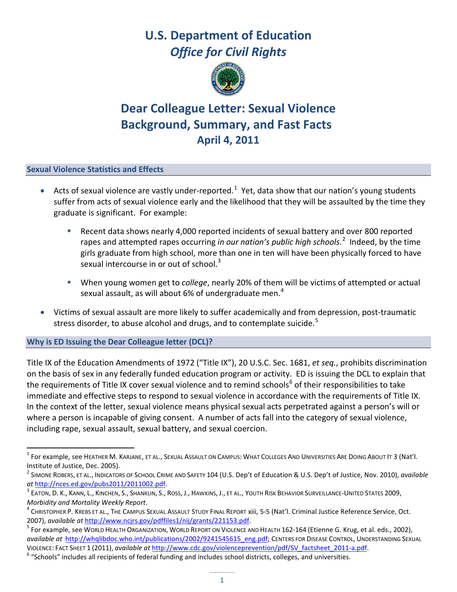# **U.S. Department of Education** *Office for Civil Rights*



## **Dear Colleague Letter: Sexual Violence Background, Summary, and Fast Facts April 4, 2011**

## **Sexual Violence Statistics and Effects**

- Acts of sexual violence are vastly under-reported.<sup>[1](#page-0-0)</sup> Yet, data show that our nation's young students suffer from acts of sexual violence early and the likelihood that they will be assaulted by the time they graduate is significant. For example:
	- Recent data shows nearly 4,000 reported incidents of sexual battery and over 800 reported rapes and attempted rapes occurring *in our nation's public high schools.* [2](#page-0-1) Indeed, by the time girls graduate from high school, more than one in ten will have been physically forced to have sexual intercourse in or out of school.<sup>[3](#page-0-2)</sup>
	- When young women get to *college*, nearly 20% of them will be victims of attempted or actual sexual assault, as will about 6% of undergraduate men.<sup>[4](#page-0-3)</sup>
- Victims of sexual assault are more likely to suffer academically and from depression, post-traumatic stress disorder, to abuse alcohol and drugs, and to contemplate suicide.<sup>[5](#page-0-4)</sup>

## **Why is ED Issuing the Dear Colleague letter (DCL)?**

Title IX of the Education Amendments of 1972 ("Title IX"), 20 U.S.C. Sec. 1681, *et seq.*, prohibits discrimination on the basis of sex in any federally funded education program or activity. ED is issuing the DCL to explain that the requirements of Title IX cover sexual violence and to remind schools<sup>[6](#page-0-5)</sup> of their responsibilities to take immediate and effective steps to respond to sexual violence in accordance with the requirements of Title IX. In the context of the letter, sexual violence means physical sexual acts perpetrated against a person's will or where a person is incapable of giving consent. A number of acts fall into the category of sexual violence, including rape, sexual assault, sexual battery, and sexual coercion.

<span id="page-0-0"></span> $^{\rm 1}$  For example, see Heather M. Karjane, et al., Sexual Assault on Campus: What Colleges And Universities Are Doing About It 3 (Nat'l. Institute of Justice, Dec. 2005).

<span id="page-0-1"></span><sup>2</sup> SIMONE ROBERS, ET AL., INDICATORS OF SCHOOL CRIME AND SAFETY 104 (U.S. Dep't of Education & U.S. Dep't of Justice, Nov. 2010), *available at* [http://nces.ed.gov/pubs2011/2011002.pdf.](http://nces.ed.gov/pubs2011/2011002.pdf)

<span id="page-0-2"></span>EATON, D. K., KANN, L., KINCHEN, S., SHANKLIN, S., ROSS, J., HAWKINS, J., ET AL., YOUTH RISK BEHAVIOR SURVEILLANCE-UNITED STATES 2009, *Morbidity and Mortality Weekly Report*.

<span id="page-0-3"></span> $^4$  Christopher P. Krebs et al., The Campus Sexual Assault Study Final Report xiii, 5-5 (Nat'l. Criminal Justice Reference Service, Oct. 2007), *available at* [http://www.ncjrs.gov/pdffiles1/nij/grants/221153.pdf.](http://www.ncjrs.gov/pdffiles1/nij/grants/221153.pdf)

<span id="page-0-4"></span><sup>&</sup>lt;sup>5</sup> For example, see WORLD HEALTH ORGANIZATION, WORLD REPORT ON VIOLENCE AND HEALTH 162-164 (Etienne G. Krug, et al. eds., 2002), *available at* [http://whqlibdoc.who.int/publications/2002/9241545615\\_eng.pdf;](http://whqlibdoc.who.int/publications/2002/9241545615_eng.pdf) CENTERS FOR DISEASE CONTROL, UNDERSTANDING SEXUAL VIOLENCE: FACT SHEET 1 (2011), *available at* [http://www.cdc.gov/violenceprevention/pdf/SV\\_factsheet\\_2011-a.pdf.](http://www.cdc.gov/violenceprevention/pdf/SV_factsheet_2011-a.pdf)

<span id="page-0-5"></span> $6$  "Schools" includes all recipients of federal funding and includes school districts, colleges, and universities.